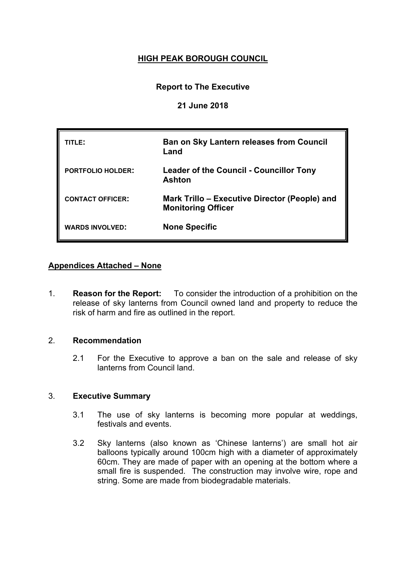# **HIGH PEAK BOROUGH COUNCIL**

# **Report to The Executive**

### **21 June 2018**

| TITLE:                   | <b>Ban on Sky Lantern releases from Council</b><br>Land                    |
|--------------------------|----------------------------------------------------------------------------|
| <b>PORTFOLIO HOLDER:</b> | <b>Leader of the Council - Councillor Tony</b><br>Ashton                   |
| <b>CONTACT OFFICER:</b>  | Mark Trillo – Executive Director (People) and<br><b>Monitoring Officer</b> |
| <b>WARDS INVOLVED:</b>   | <b>None Specific</b>                                                       |

### **Appendices Attached – None**

1. **Reason for the Report:** To consider the introduction of a prohibition on the release of sky lanterns from Council owned land and property to reduce the risk of harm and fire as outlined in the report.

# 2. **Recommendation**

2.1 For the Executive to approve a ban on the sale and release of sky lanterns from Council land.

### 3. **Executive Summary**

- 3.1 The use of sky lanterns is becoming more popular at weddings, festivals and events.
- 3.2 Sky lanterns (also known as 'Chinese lanterns') are small hot air balloons typically around 100cm high with a diameter of approximately 60cm. They are made of paper with an opening at the bottom where a small fire is suspended. The construction may involve wire, rope and string. Some are made from biodegradable materials.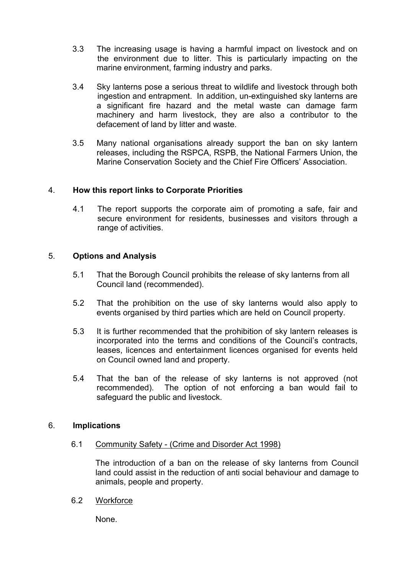- 3.3 The increasing usage is having a harmful impact on livestock and on the environment due to litter. This is particularly impacting on the marine environment, farming industry and parks.
- 3.4 Sky lanterns pose a serious threat to wildlife and livestock through both ingestion and entrapment. In addition, un-extinguished sky lanterns are a significant fire hazard and the metal waste can damage farm machinery and harm livestock, they are also a contributor to the defacement of land by litter and waste.
- 3.5 Many national organisations already support the ban on sky lantern releases, including the RSPCA, RSPB, the National Farmers Union, the Marine Conservation Society and the Chief Fire Officers' Association.

### 4. **How this report links to Corporate Priorities**

4.1 The report supports the corporate aim of promoting a safe, fair and secure environment for residents, businesses and visitors through a range of activities.

### 5. **Options and Analysis**

- 5.1 That the Borough Council prohibits the release of sky lanterns from all Council land (recommended).
- 5.2 That the prohibition on the use of sky lanterns would also apply to events organised by third parties which are held on Council property.
- 5.3 It is further recommended that the prohibition of sky lantern releases is incorporated into the terms and conditions of the Council's contracts, leases, licences and entertainment licences organised for events held on Council owned land and property.
- 5.4 That the ban of the release of sky lanterns is not approved (not recommended). The option of not enforcing a ban would fail to safeguard the public and livestock.

#### 6. **Implications**

6.1 Community Safety - (Crime and Disorder Act 1998)

The introduction of a ban on the release of sky lanterns from Council land could assist in the reduction of anti social behaviour and damage to animals, people and property.

6.2 Workforce

None.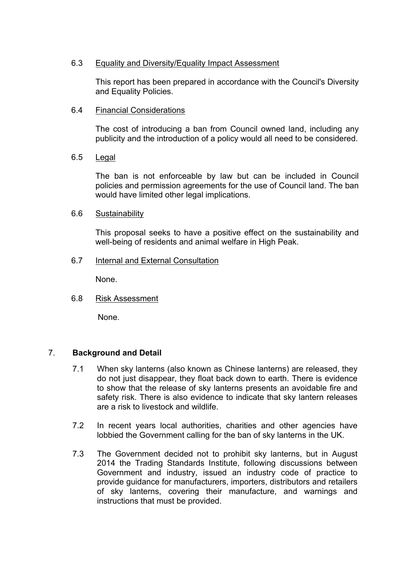### 6.3 Equality and Diversity/Equality Impact Assessment

This report has been prepared in accordance with the Council's Diversity and Equality Policies.

6.4 Financial Considerations

The cost of introducing a ban from Council owned land, including any publicity and the introduction of a policy would all need to be considered.

6.5 Legal

The ban is not enforceable by law but can be included in Council policies and permission agreements for the use of Council land. The ban would have limited other legal implications.

6.6 Sustainability

This proposal seeks to have a positive effect on the sustainability and well-being of residents and animal welfare in High Peak.

6.7 Internal and External Consultation

None.

6.8 Risk Assessment

None.

### 7. **Background and Detail**

- 7.1 When sky lanterns (also known as Chinese lanterns) are released, they do not just disappear, they float back down to earth. There is evidence to show that the release of sky lanterns presents an avoidable fire and safety risk. There is also evidence to indicate that sky lantern releases are a risk to livestock and wildlife.
- 7.2 In recent years local authorities, charities and other agencies have lobbied the Government calling for the ban of sky lanterns in the UK.
- 7.3 The Government decided not to prohibit sky lanterns, but in August 2014 the Trading Standards Institute, following discussions between Government and industry, issued an industry code of practice to provide guidance for manufacturers, importers, distributors and retailers of sky lanterns, covering their manufacture, and warnings and instructions that must be provided.